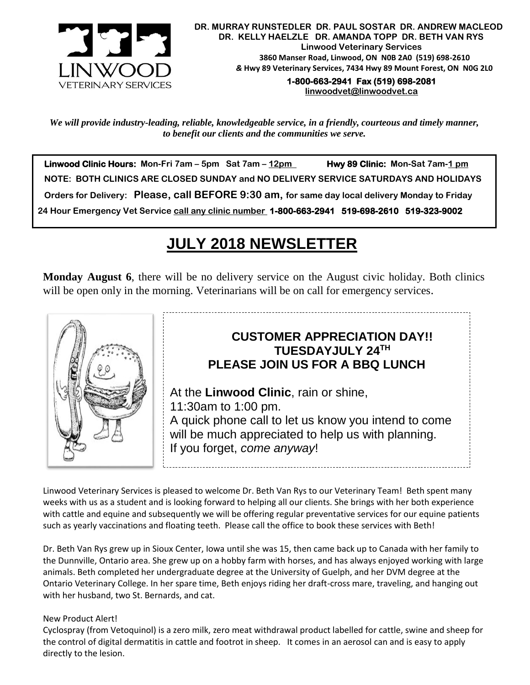

**1-800-663-2941 Fax (519) 698-2081 [linwoodvet@linwoodvet.ca](mailto:linwoodvet@linwoodvet.ca)**

*We will provide industry-leading, reliable, knowledgeable service, in a friendly, courteous and timely manner, to benefit our clients and the communities we serve.*

 **Linwood Clinic Hours: Mon-Fri 7am – 5pm Sat 7am – 12pm Hwy 89 Clinic: Mon-Sat 7am-1 pm NOTE: BOTH CLINICS ARE CLOSED SUNDAY and NO DELIVERY SERVICE SATURDAYS AND HOLIDAYS Orders for Delivery: Please, call BEFORE 9:30 am, for same day local delivery Monday to Friday 24 Hour Emergency Vet Service call any clinic number 1-800-663-2941 519-698-2610 519-323-9002**

# *!* **JULY 2018 NEWSLETTER**

**Monday August 6**, there will be no delivery service on the August civic holiday. Both clinics will be open only in the morning. Veterinarians will be on call for emergency services.



# **CUSTOMER APPRECIATION DAY!! TUESDAYJULY 24TH PLEASE JOIN US FOR A BBQ LUNCH**

At the **Linwood Clinic**, rain or shine, 11:30am to 1:00 pm. A quick phone call to let us know you intend to come will be much appreciated to help us with planning. If you forget, *come anyway*!

Linwood Veterinary Services is pleased to welcome Dr. Beth Van Rys to our Veterinary Team! Beth spent many weeks with us as a student and is looking forward to helping all our clients. She brings with her both experience with cattle and equine and subsequently we will be offering regular preventative services for our equine patients such as yearly vaccinations and floating teeth. Please call the office to book these services with Beth!

Dr. Beth Van Rys grew up in Sioux Center, Iowa until she was 15, then came back up to Canada with her family to the Dunnville, Ontario area. She grew up on a hobby farm with horses, and has always enjoyed working with large animals. Beth completed her undergraduate degree at the University of Guelph, and her DVM degree at the Ontario Veterinary College. In her spare time, Beth enjoys riding her draft-cross mare, traveling, and hanging out with her husband, two St. Bernards, and cat.

# New Product Alert!

Cyclospray (from Vetoquinol) is a zero milk, zero meat withdrawal product labelled for cattle, swine and sheep for the control of digital dermatitis in cattle and footrot in sheep. It comes in an aerosol can and is easy to apply directly to the lesion.